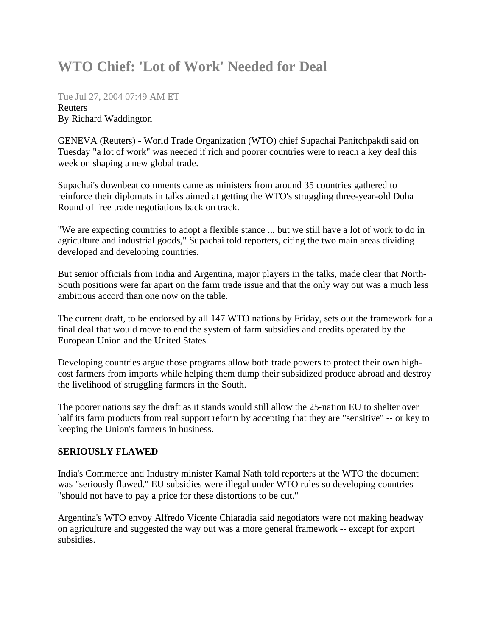## **WTO Chief: 'Lot of Work' Needed for Deal**

Tue Jul 27, 2004 07:49 AM ET Reuters By Richard Waddington

GENEVA (Reuters) - World Trade Organization (WTO) chief Supachai Panitchpakdi said on Tuesday "a lot of work" was needed if rich and poorer countries were to reach a key deal this week on shaping a new global trade.

Supachai's downbeat comments came as ministers from around 35 countries gathered to reinforce their diplomats in talks aimed at getting the WTO's struggling three-year-old Doha Round of free trade negotiations back on track.

"We are expecting countries to adopt a flexible stance ... but we still have a lot of work to do in agriculture and industrial goods," Supachai told reporters, citing the two main areas dividing developed and developing countries.

But senior officials from India and Argentina, major players in the talks, made clear that North-South positions were far apart on the farm trade issue and that the only way out was a much less ambitious accord than one now on the table.

The current draft, to be endorsed by all 147 WTO nations by Friday, sets out the framework for a final deal that would move to end the system of farm subsidies and credits operated by the European Union and the United States.

Developing countries argue those programs allow both trade powers to protect their own highcost farmers from imports while helping them dump their subsidized produce abroad and destroy the livelihood of struggling farmers in the South.

The poorer nations say the draft as it stands would still allow the 25-nation EU to shelter over half its farm products from real support reform by accepting that they are "sensitive" -- or key to keeping the Union's farmers in business.

## **SERIOUSLY FLAWED**

India's Commerce and Industry minister Kamal Nath told reporters at the WTO the document was "seriously flawed." EU subsidies were illegal under WTO rules so developing countries "should not have to pay a price for these distortions to be cut."

Argentina's WTO envoy Alfredo Vicente Chiaradia said negotiators were not making headway on agriculture and suggested the way out was a more general framework -- except for export subsidies.